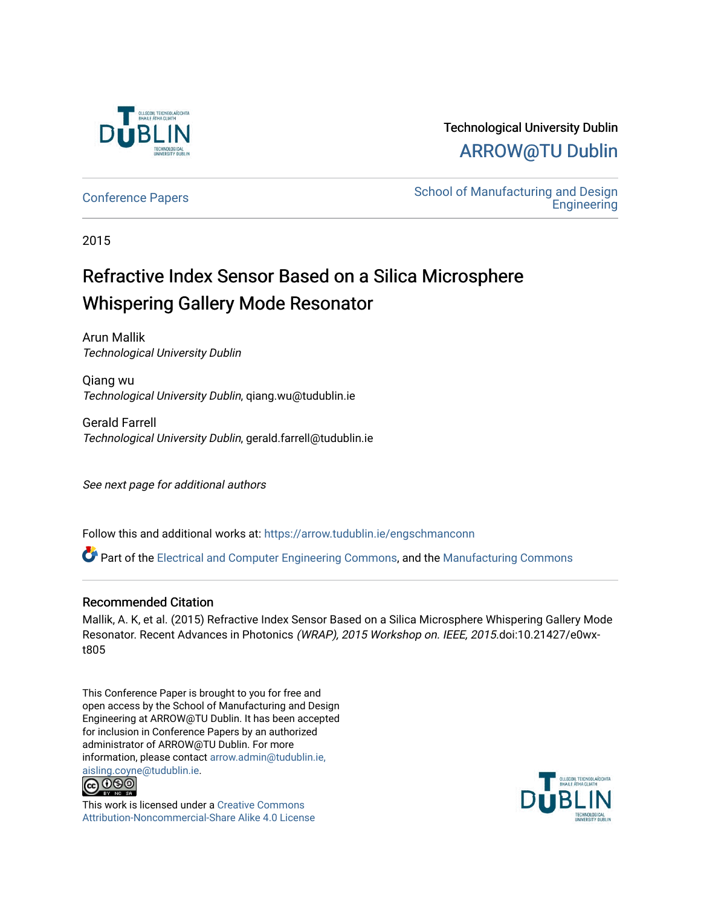

## Technological University Dublin [ARROW@TU Dublin](https://arrow.tudublin.ie/)

[Conference Papers](https://arrow.tudublin.ie/engschmanconn) **School of Manufacturing and Design**<br>
School of Manufacturing and Design **Engineering** 

2015

## Refractive Index Sensor Based on a Silica Microsphere Whispering Gallery Mode Resonator

Arun Mallik Technological University Dublin

Qiang wu Technological University Dublin, qiang.wu@tudublin.ie

Gerald Farrell Technological University Dublin, gerald.farrell@tudublin.ie

See next page for additional authors

Follow this and additional works at: [https://arrow.tudublin.ie/engschmanconn](https://arrow.tudublin.ie/engschmanconn?utm_source=arrow.tudublin.ie%2Fengschmanconn%2F40&utm_medium=PDF&utm_campaign=PDFCoverPages) 

Part of the [Electrical and Computer Engineering Commons](http://network.bepress.com/hgg/discipline/266?utm_source=arrow.tudublin.ie%2Fengschmanconn%2F40&utm_medium=PDF&utm_campaign=PDFCoverPages), and the [Manufacturing Commons](http://network.bepress.com/hgg/discipline/301?utm_source=arrow.tudublin.ie%2Fengschmanconn%2F40&utm_medium=PDF&utm_campaign=PDFCoverPages) 

### Recommended Citation

Mallik, A. K, et al. (2015) Refractive Index Sensor Based on a Silica Microsphere Whispering Gallery Mode Resonator. Recent Advances in Photonics (WRAP), 2015 Workshop on. IEEE, 2015.doi:10.21427/e0wxt805

This Conference Paper is brought to you for free and open access by the School of Manufacturing and Design Engineering at ARROW@TU Dublin. It has been accepted for inclusion in Conference Papers by an authorized administrator of ARROW@TU Dublin. For more information, please contact [arrow.admin@tudublin.ie,](mailto:arrow.admin@tudublin.ie,%20aisling.coyne@tudublin.ie)  [aisling.coyne@tudublin.ie.](mailto:arrow.admin@tudublin.ie,%20aisling.coyne@tudublin.ie)<br>© 090



This work is licensed under a [Creative Commons](http://creativecommons.org/licenses/by-nc-sa/4.0/) [Attribution-Noncommercial-Share Alike 4.0 License](http://creativecommons.org/licenses/by-nc-sa/4.0/)

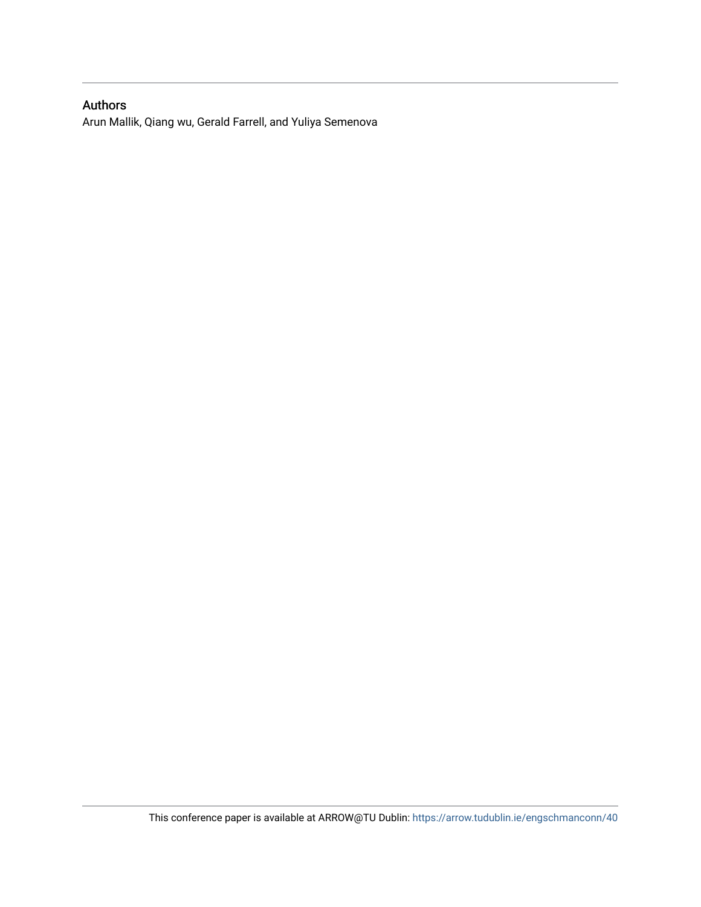### Authors

Arun Mallik, Qiang wu, Gerald Farrell, and Yuliya Semenova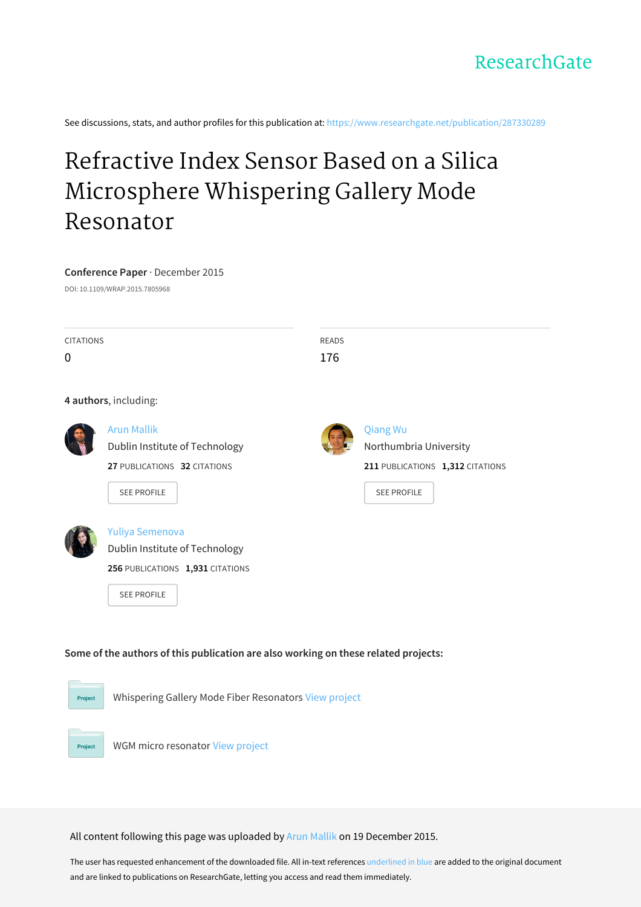See discussions, stats, and author profiles for this publication at: [https://www.researchgate.net/publication/287330289](https://www.researchgate.net/publication/287330289_Refractive_Index_Sensor_Based_on_a_Silica_Microsphere_Whispering_Gallery_Mode_Resonator?enrichId=rgreq-5081054cbd5deaa93e5633092749b6db-XXX&enrichSource=Y292ZXJQYWdlOzI4NzMzMDI4OTtBUzozMDgzODcyODYzMjMyMDBAMTQ1MDUzNjY2NjQyOA%3D%3D&el=1_x_2&_esc=publicationCoverPdf)

# Refractive Index Sensor Based on a Silica [Microsphere](https://www.researchgate.net/publication/287330289_Refractive_Index_Sensor_Based_on_a_Silica_Microsphere_Whispering_Gallery_Mode_Resonator?enrichId=rgreq-5081054cbd5deaa93e5633092749b6db-XXX&enrichSource=Y292ZXJQYWdlOzI4NzMzMDI4OTtBUzozMDgzODcyODYzMjMyMDBAMTQ1MDUzNjY2NjQyOA%3D%3D&el=1_x_3&_esc=publicationCoverPdf) Whispering Gallery Mode Resonator

#### **Conference Paper** · December 2015

DOI: 10.1109/WRAP.2015.7805968

| <b>CITATIONS</b> |                                                                                     |     | <b>READS</b>                     |  |
|------------------|-------------------------------------------------------------------------------------|-----|----------------------------------|--|
| 0                |                                                                                     | 176 |                                  |  |
|                  | 4 authors, including:                                                               |     |                                  |  |
|                  | <b>Arun Mallik</b>                                                                  |     | <b>Qiang Wu</b>                  |  |
|                  | Dublin Institute of Technology                                                      |     | Northumbria University           |  |
|                  | 27 PUBLICATIONS 32 CITATIONS                                                        |     | 211 PUBLICATIONS 1,312 CITATIONS |  |
|                  | <b>SEE PROFILE</b>                                                                  |     | <b>SEE PROFILE</b>               |  |
|                  |                                                                                     |     |                                  |  |
|                  | Yuliya Semenova                                                                     |     |                                  |  |
|                  | Dublin Institute of Technology                                                      |     |                                  |  |
|                  | 256 PUBLICATIONS 1,931 CITATIONS                                                    |     |                                  |  |
|                  | <b>SEE PROFILE</b>                                                                  |     |                                  |  |
|                  |                                                                                     |     |                                  |  |
|                  |                                                                                     |     |                                  |  |
|                  | Some of the authors of this publication are also working on these related projects: |     |                                  |  |
|                  |                                                                                     |     |                                  |  |
|                  |                                                                                     |     |                                  |  |
| <b>Project</b>   | Whispering Gallery Mode Fiber Resonators View project                               |     |                                  |  |



WGM micro resonator View [project](https://www.researchgate.net/project/WGM-micro-resonator?enrichId=rgreq-5081054cbd5deaa93e5633092749b6db-XXX&enrichSource=Y292ZXJQYWdlOzI4NzMzMDI4OTtBUzozMDgzODcyODYzMjMyMDBAMTQ1MDUzNjY2NjQyOA%3D%3D&el=1_x_9&_esc=publicationCoverPdf)

All content following this page was uploaded by Arun [Mallik](https://www.researchgate.net/profile/Arun_Mallik3?enrichId=rgreq-5081054cbd5deaa93e5633092749b6db-XXX&enrichSource=Y292ZXJQYWdlOzI4NzMzMDI4OTtBUzozMDgzODcyODYzMjMyMDBAMTQ1MDUzNjY2NjQyOA%3D%3D&el=1_x_10&_esc=publicationCoverPdf) on 19 December 2015.

The user has requested enhancement of the downloaded file. All in-text references underlined in blue are added to the original document and are linked to publications on ResearchGate, letting you access and read them immediately.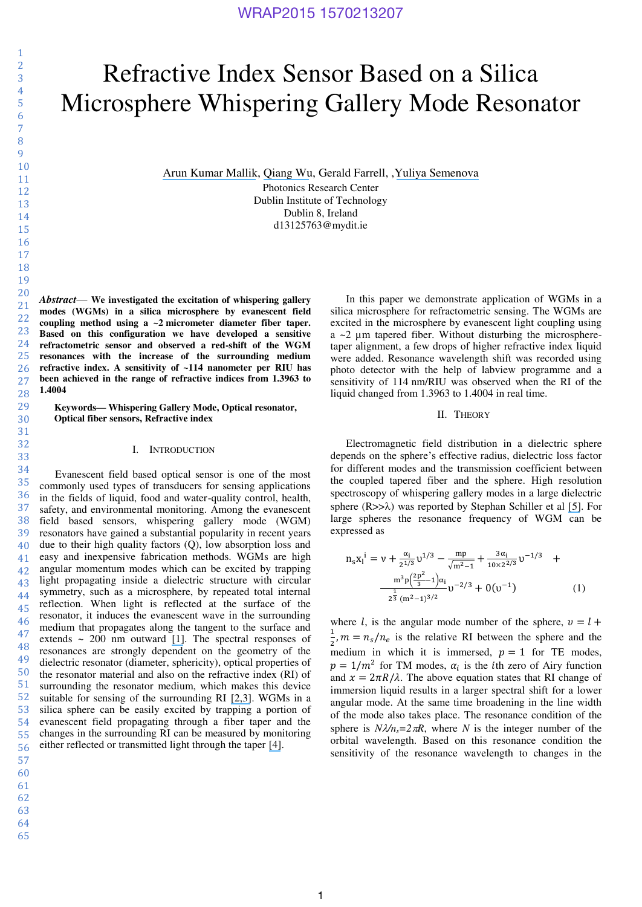# Refractive Index Sensor Based on a Silica Microsphere Whispering Gallery Mode Resonator

[Arun Kumar Mallik](https://www.researchgate.net/profile/Arun_Mallik3?el=1_x_100&enrichId=rgreq-5081054cbd5deaa93e5633092749b6db-XXX&enrichSource=Y292ZXJQYWdlOzI4NzMzMDI4OTtBUzozMDgzODcyODYzMjMyMDBAMTQ1MDUzNjY2NjQyOA==), [Qiang Wu](https://www.researchgate.net/profile/Qiang_Wu?el=1_x_100&enrichId=rgreq-5081054cbd5deaa93e5633092749b6db-XXX&enrichSource=Y292ZXJQYWdlOzI4NzMzMDI4OTtBUzozMDgzODcyODYzMjMyMDBAMTQ1MDUzNjY2NjQyOA==), Gerald Farrell, ,[Yuliya Semenova](https://www.researchgate.net/profile/Yuliya_Semenova?el=1_x_100&enrichId=rgreq-5081054cbd5deaa93e5633092749b6db-XXX&enrichSource=Y292ZXJQYWdlOzI4NzMzMDI4OTtBUzozMDgzODcyODYzMjMyMDBAMTQ1MDUzNjY2NjQyOA==)

Photonics Research Center Dublin Institute of Technology Dublin 8, Ireland d13125763@mydit.ie

*Abstract*— **We investigated the excitation of whispering gallery modes (WGMs) in a silica microsphere by evanescent field coupling method using a ~2 micrometer diameter fiber taper. Based on this configuration we have developed a sensitive refractometric sensor and observed a red-shift of the WGM resonances with the increase of the surrounding medium refractive index. A sensitivity of ~114 nanometer per RIU has been achieved in the range of refractive indices from 1.3963 to 1.4004** 

**Keywords— Whispering Gallery Mode, Optical resonator, Optical fiber sensors, Refractive index** 

#### I. INTRODUCTION

43 44 45 46 47 48 49 50 51 52 53 54 55 56 Evanescent field based optical sensor is one of the most commonly used types of transducers for sensing applications in the fields of liquid, food and water-quality control, health, safety, and environmental monitoring. Among the evanescent field based sensors, whispering gallery mode (WGM) resonators have gained a substantial popularity in recent years due to their high quality factors (Q), low absorption loss and easy and inexpensive fabrication methods. WGMs are high angular momentum modes which can be excited by trapping light propagating inside a dielectric structure with circular symmetry, such as a microsphere, by repeated total internal reflection. When light is reflected at the surface of the resonator, it induces the evanescent wave in the surrounding medium that propagates along the tangent to the surface and extends ~ 200 nm outward [\[1\]](https://www.researchgate.net/publication/5267253_Whispering-Gallery-Mode_Biosensing_Label-Free_Detection_Down_to_Single_Molecules?el=1_x_8&enrichId=rgreq-5081054cbd5deaa93e5633092749b6db-XXX&enrichSource=Y292ZXJQYWdlOzI4NzMzMDI4OTtBUzozMDgzODcyODYzMjMyMDBAMTQ1MDUzNjY2NjQyOA==). The spectral responses of resonances are strongly dependent on the geometry of the dielectric resonator (diameter, sphericity), optical properties of the resonator material and also on the refractive index (RI) of surrounding the resonator medium, which makes this device suitable for sensing of the surrounding RI [\[2,](https://www.researchgate.net/publication/224141068_Whispering_gallery_modes_of_microspheres_in_the_presence_of_a_changing_surrounding_medium_A_new_ray-tracing_analysis_and_sensor_experiment?el=1_x_8&enrichId=rgreq-5081054cbd5deaa93e5633092749b6db-XXX&enrichSource=Y292ZXJQYWdlOzI4NzMzMDI4OTtBUzozMDgzODcyODYzMjMyMDBAMTQ1MDUzNjY2NjQyOA==)[3\]](https://www.researchgate.net/publication/5664509_Phase-Matched_Excitation_of_Whispering-Gallery-Mode_Resonances_by_a_Fiber_Taper?el=1_x_8&enrichId=rgreq-5081054cbd5deaa93e5633092749b6db-XXX&enrichSource=Y292ZXJQYWdlOzI4NzMzMDI4OTtBUzozMDgzODcyODYzMjMyMDBAMTQ1MDUzNjY2NjQyOA==). WGMs in a silica sphere can be easily excited by trapping a portion of evanescent field propagating through a fiber taper and the changes in the surrounding RI can be measured by monitoring either reflected or transmitted light through the taper [\[4\]](https://www.researchgate.net/publication/253976530_Refractometric_sensors_based_on_microsphere_resonators?el=1_x_8&enrichId=rgreq-5081054cbd5deaa93e5633092749b6db-XXX&enrichSource=Y292ZXJQYWdlOzI4NzMzMDI4OTtBUzozMDgzODcyODYzMjMyMDBAMTQ1MDUzNjY2NjQyOA==).

- 57
- 60
- 61
- 62 63

64

65

In this paper we demonstrate application of WGMs in a silica microsphere for refractometric sensing. The WGMs are excited in the microsphere by evanescent light coupling using a  $\sim$ 2  $\mu$ m tapered fiber. Without disturbing the microspheretaper alignment, a few drops of higher refractive index liquid were added. Resonance wavelength shift was recorded using photo detector with the help of labview programme and a sensitivity of 114 nm/RIU was observed when the RI of the liquid changed from 1.3963 to 1.4004 in real time.

#### II. THEORY

Electromagnetic field distribution in a dielectric sphere depends on the sphere's effective radius, dielectric loss factor for different modes and the transmission coefficient between the coupled tapered fiber and the sphere. High resolution spectroscopy of whispering gallery modes in a large dielectric sphere  $(R>>\lambda)$  was reported by Stephan Schiller et al [\[5\]](https://www.researchgate.net/publication/26833964_High-resolution_spectroscopy_of_whispering_gallery_modes_in_large_dielectric_spheres?el=1_x_8&enrichId=rgreq-5081054cbd5deaa93e5633092749b6db-XXX&enrichSource=Y292ZXJQYWdlOzI4NzMzMDI4OTtBUzozMDgzODcyODYzMjMyMDBAMTQ1MDUzNjY2NjQyOA==). For large spheres the resonance frequency of WGM can be expressed as

$$
n_{s}x_{1}^{i} = v + \frac{\alpha_{i}}{2^{1/3}}v^{1/3} - \frac{mp}{\sqrt{m^{2}-1}} + \frac{3\alpha_{i}}{10\times2^{2/3}}v^{-1/3} + \frac{m^{3}p(\frac{2p^{2}}{3}-1)\alpha_{i}}{2^{\frac{1}{3}}(m^{2}-1)^{3/2}}v^{-2/3} + O(v^{-1})
$$
 (1)

where l, is the angular mode number of the sphere,  $v = l +$  $\frac{1}{2}$ ,  $m = n_s/n_e$  is the relative RI between the sphere and the medium in which it is immersed,  $p = 1$  for TE modes,  $p = 1/m^2$  for TM modes,  $\alpha_i$  is the *i*th zero of Airy function and  $x = 2\pi R/\lambda$ . The above equation states that RI change of immersion liquid results in a larger spectral shift for a lower angular mode. At the same time broadening in the line width of the mode also takes place. The resonance condition of the sphere is  $N\lambda/n_s = 2\pi R$ , where *N* is the integer number of the orbital wavelength. Based on this resonance condition the sensitivity of the resonance wavelength to changes in the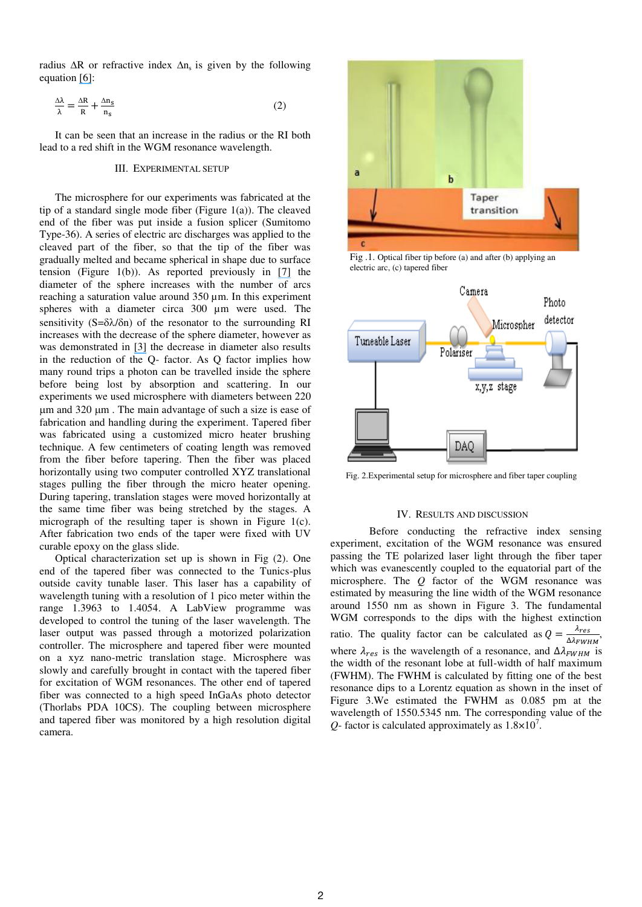radius  $\Delta R$  or refractive index  $\Delta n_s$  is given by the following equation [\[6\]](https://www.researchgate.net/publication/23656123_Single_virus_detection_from_the_reactive_shift_of_a_whispering-gallery_mode?el=1_x_8&enrichId=rgreq-5081054cbd5deaa93e5633092749b6db-XXX&enrichSource=Y292ZXJQYWdlOzI4NzMzMDI4OTtBUzozMDgzODcyODYzMjMyMDBAMTQ1MDUzNjY2NjQyOA==):

$$
\frac{\Delta\lambda}{\lambda} = \frac{\Delta R}{R} + \frac{\Delta n_s}{n_s} \tag{2}
$$

It can be seen that an increase in the radius or the RI both lead to a red shift in the WGM resonance wavelength.

#### III. EXPERIMENTAL SETUP

The microsphere for our experiments was fabricated at the tip of a standard single mode fiber (Figure 1(a)). The cleaved end of the fiber was put inside a fusion splicer (Sumitomo Type-36). A series of electric arc discharges was applied to the cleaved part of the fiber, so that the tip of the fiber was gradually melted and became spherical in shape due to surface tension (Figure 1(b)). As reported previously in  $[7]$  the diameter of the sphere increases with the number of arcs reaching a saturation value around 350 µm. In this experiment spheres with a diameter circa 300 µm were used. The sensitivity ( $S = \delta \lambda / \delta n$ ) of the resonator to the surrounding RI increases with the decrease of the sphere diameter, however as was demonstrated in [\[3\]](https://www.researchgate.net/publication/5664509_Phase-Matched_Excitation_of_Whispering-Gallery-Mode_Resonances_by_a_Fiber_Taper?el=1_x_8&enrichId=rgreq-5081054cbd5deaa93e5633092749b6db-XXX&enrichSource=Y292ZXJQYWdlOzI4NzMzMDI4OTtBUzozMDgzODcyODYzMjMyMDBAMTQ1MDUzNjY2NjQyOA==) the decrease in diameter also results in the reduction of the Q- factor. As Q factor implies how many round trips a photon can be travelled inside the sphere before being lost by absorption and scattering. In our experiments we used microsphere with diameters between 220  $\mu$ m and 320  $\mu$ m. The main advantage of such a size is ease of fabrication and handling during the experiment. Tapered fiber was fabricated using a customized micro heater brushing technique. A few centimeters of coating length was removed from the fiber before tapering. Then the fiber was placed horizontally using two computer controlled XYZ translational stages pulling the fiber through the micro heater opening. During tapering, translation stages were moved horizontally at the same time fiber was being stretched by the stages. A micrograph of the resulting taper is shown in Figure 1(c). After fabrication two ends of the taper were fixed with UV curable epoxy on the glass slide.

Optical characterization set up is shown in Fig (2). One end of the tapered fiber was connected to the Tunics-plus outside cavity tunable laser. This laser has a capability of wavelength tuning with a resolution of 1 pico meter within the range 1.3963 to 1.4054. A LabView programme was developed to control the tuning of the laser wavelength. The laser output was passed through a motorized polarization controller. The microsphere and tapered fiber were mounted on a xyz nano-metric translation stage. Microsphere was slowly and carefully brought in contact with the tapered fiber for excitation of WGM resonances. The other end of tapered fiber was connected to a high speed InGaAs photo detector (Thorlabs PDA 10CS). The coupling between microsphere and tapered fiber was monitored by a high resolution digital camera.



Fig .1. Optical fiber tip before (a) and after (b) applying an electric arc, (c) tapered fiber



Fig. 2.Experimental setup for microsphere and fiber taper coupling

#### IV. RESULTS AND DISCUSSION

 Before conducting the refractive index sensing experiment, excitation of the WGM resonance was ensured passing the TE polarized laser light through the fiber taper which was evanescently coupled to the equatorial part of the microsphere. The *Q* factor of the WGM resonance was estimated by measuring the line width of the WGM resonance around 1550 nm as shown in Figure 3. The fundamental WGM corresponds to the dips with the highest extinction ratio. The quality factor can be calculated as  $Q = \frac{\lambda_{res}}{\Delta \lambda_{FWHM}}$ , where  $\lambda_{res}$  is the wavelength of a resonance, and  $\Delta \lambda_{FWHM}$  is the width of the resonant lobe at full-width of half maximum (FWHM). The FWHM is calculated by fitting one of the best resonance dips to a Lorentz equation as shown in the inset of Figure 3.We estimated the FWHM as 0.085 pm at the wavelength of 1550.5345 nm. The corresponding value of the  $Q$ - factor is calculated approximately as  $1.8 \times 10^{7}$ .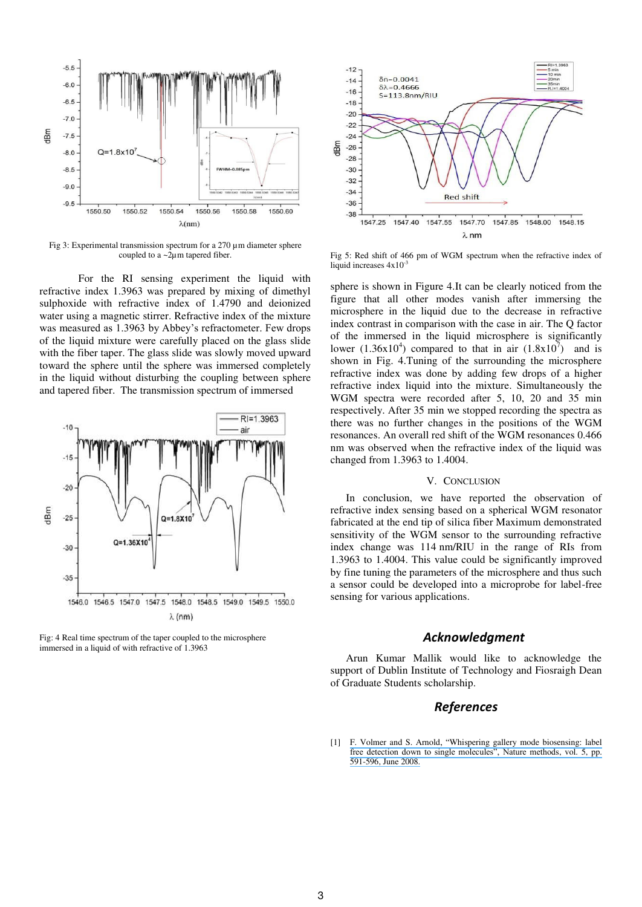

Fig 3: Experimental transmission spectrum for a 270 µm diameter sphere coupled to a ~2µm tapered fiber.

For the RI sensing experiment the liquid with refractive index 1.3963 was prepared by mixing of dimethyl sulphoxide with refractive index of 1.4790 and deionized water using a magnetic stirrer. Refractive index of the mixture was measured as 1.3963 by Abbey's refractometer. Few drops of the liquid mixture were carefully placed on the glass slide with the fiber taper. The glass slide was slowly moved upward toward the sphere until the sphere was immersed completely in the liquid without disturbing the coupling between sphere and tapered fiber. The transmission spectrum of immersed



Fig: 4 Real time spectrum of the taper coupled to the microsphere immersed in a liquid of with refractive of 1.3963



Fig 5: Red shift of 466 pm of WGM spectrum when the refractive index of liquid increases  $4x10^{-3}$ 

sphere is shown in Figure 4.It can be clearly noticed from the figure that all other modes vanish after immersing the microsphere in the liquid due to the decrease in refractive index contrast in comparison with the case in air. The Q factor of the immersed in the liquid microsphere is significantly lower  $(1.36x10^4)$  compared to that in air  $(1.8x10^7)$  and is shown in Fig. 4.Tuning of the surrounding the microsphere refractive index was done by adding few drops of a higher refractive index liquid into the mixture. Simultaneously the WGM spectra were recorded after 5, 10, 20 and 35 min respectively. After 35 min we stopped recording the spectra as there was no further changes in the positions of the WGM resonances. An overall red shift of the WGM resonances 0.466 nm was observed when the refractive index of the liquid was changed from 1.3963 to 1.4004.

#### V. CONCLUSION

In conclusion, we have reported the observation of refractive index sensing based on a spherical WGM resonator fabricated at the end tip of silica fiber Maximum demonstrated sensitivity of the WGM sensor to the surrounding refractive index change was 114 nm/RIU in the range of RIs from 1.3963 to 1.4004. This value could be significantly improved by fine tuning the parameters of the microsphere and thus such a sensor could be developed into a microprobe for label-free sensing for various applications.

#### *Acknowledgment*

Arun Kumar Mallik would like to acknowledge the support of Dublin Institute of Technology and Fiosraigh Dean of Graduate Students scholarship.

#### *References*

[1] F. Volmer and S. Arnold, "[Whispering gallery mode biosensing: label](https://www.researchgate.net/publication/5267253_Whispering-Gallery-Mode_Biosensing_Label-Free_Detection_Down_to_Single_Molecules?el=1_x_8&enrichId=rgreq-5081054cbd5deaa93e5633092749b6db-XXX&enrichSource=Y292ZXJQYWdlOzI4NzMzMDI4OTtBUzozMDgzODcyODYzMjMyMDBAMTQ1MDUzNjY2NjQyOA==)  [free detection down to single molecules", Nature methods](https://www.researchgate.net/publication/5267253_Whispering-Gallery-Mode_Biosensing_Label-Free_Detection_Down_to_Single_Molecules?el=1_x_8&enrichId=rgreq-5081054cbd5deaa93e5633092749b6db-XXX&enrichSource=Y292ZXJQYWdlOzI4NzMzMDI4OTtBUzozMDgzODcyODYzMjMyMDBAMTQ1MDUzNjY2NjQyOA==), vol. 5, pp. [591-596, June 2008.](https://www.researchgate.net/publication/5267253_Whispering-Gallery-Mode_Biosensing_Label-Free_Detection_Down_to_Single_Molecules?el=1_x_8&enrichId=rgreq-5081054cbd5deaa93e5633092749b6db-XXX&enrichSource=Y292ZXJQYWdlOzI4NzMzMDI4OTtBUzozMDgzODcyODYzMjMyMDBAMTQ1MDUzNjY2NjQyOA==)